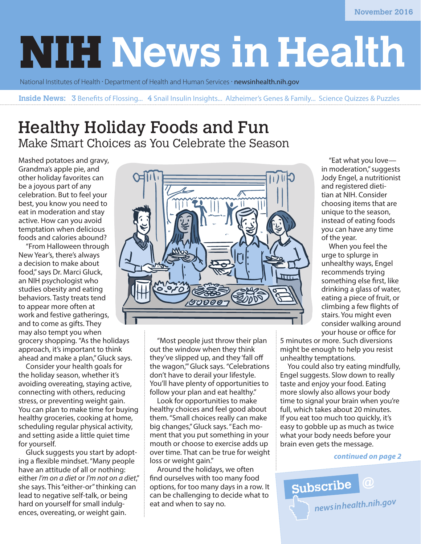# **NIH News in Health**

National Institutes of Health · Department of Health and Human Services · [newsinhealth.nih.gov](http://newsinhealth.nih.gov)

**Inside News:** 3 Benefits of Flossing... 4 Snail Insulin Insights... Alzheimer's Genes & Family... Science Quizzes & Puzzles

# Healthy Holiday Foods and Fun Make Smart Choices as You Celebrate the Season

Mashed potatoes and gravy, Grandma's apple pie, and other holiday favorites can be a joyous part of any celebration. But to feel your best, you know you need to eat in moderation and stay active. How can you avoid temptation when delicious foods and calories abound?

"From Halloween through New Year's, there's always a decision to make about food," says Dr. Marci Gluck, an NIH psychologist who studies obesity and eating behaviors. Tasty treats tend to appear more often at work and festive gatherings, and to come as gifts. They may also tempt you when grocery shopping. "As the holidays approach, it's important to think ahead and make a plan," Gluck says.

Consider your health goals for the holiday season, whether it's avoiding overeating, staying active, connecting with others, reducing stress, or preventing weight gain. You can plan to make time for buying healthy groceries, cooking at home, scheduling regular physical activity, and setting aside a little quiet time for yourself.

Gluck suggests you start by adopting a flexible mindset. "Many people have an attitude of all or nothing: either *I'm on a diet* or *I'm not on a diet*," she says. This "either-or" thinking can lead to negative self-talk, or being hard on yourself for small indulgences, overeating, or weight gain.



"Most people just throw their plan out the window when they think they've slipped up, and they 'fall off the wagon,'" Gluck says. "Celebrations don't have to derail your lifestyle. You'll have plenty of opportunities to follow your plan and eat healthy."

Look for opportunities to make healthy choices and feel good about them. "Small choices really can make big changes," Gluck says. "Each moment that you put something in your mouth or choose to exercise adds up over time. That can be true for weight loss or weight gain."

Around the holidays, we often find ourselves with too many food options, for too many days in a row. It can be challenging to decide what to eat and when to say no.

"Eat what you love in moderation," suggests Jody Engel, a nutritionist and registered dietitian at NIH. Consider choosing items that are unique to the season, instead of eating foods you can have any time of the year.

When you feel the urge to splurge in unhealthy ways, Engel recommends trying something else first, like drinking a glass of water, eating a piece of fruit, or climbing a few flights of stairs. You might even consider walking around your house or office for

5 minutes or more. Such diversions might be enough to help you resist unhealthy temptations.

You could also try eating mindfully, Engel suggests. Slow down to really taste and enjoy your food. Eating more slowly also allows your body time to signal your brain when you're full, which takes about 20 minutes. If you eat too much too quickly, it's easy to gobble up as much as twice what your body needs before your brain even gets the message.

#### *continued on page 2*

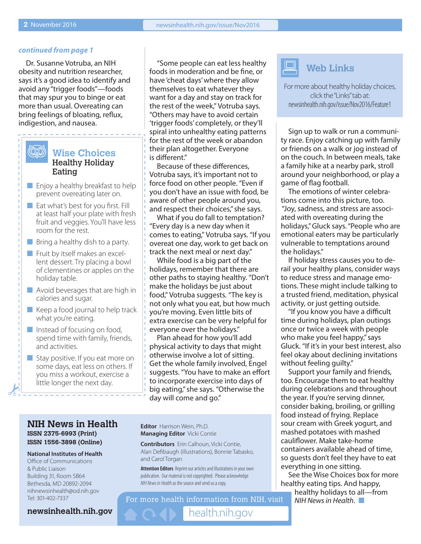#### *continued from page 1*

Dr. Susanne Votruba, an NIH obesity and nutrition researcher, says it's a good idea to identify and avoid any "trigger foods"—foods that may spur you to binge or eat more than usual. Overeating can bring feelings of bloating, reflux, indigestion, and nausea.

#### (OO) **Wise Choices** Healthy Holiday Eating

- $\blacksquare$  Enjoy a healthy breakfast to help prevent overeating later on.
- $\blacksquare$  Eat what's best for you first. Fill at least half your plate with fresh fruit and veggies. You'll have less room for the rest.
- $\blacksquare$  Bring a healthy dish to a party.
- $\blacksquare$  Fruit by itself makes an excellent dessert. Try placing a bowl of clementines or apples on the holiday table.
- $\blacksquare$  Avoid beverages that are high in calories and sugar.
- $\blacksquare$  Keep a food journal to help track what you're eating.
- $\blacksquare$  Instead of focusing on food, spend time with family, friends, and activities.
- $\blacksquare$  Stay positive. If you eat more on some days, eat less on others. If you miss a workout, exercise a little longer the next day.

"Some people can eat less healthy foods in moderation and be fine, or have 'cheat days' where they allow themselves to eat whatever they want for a day and stay on track for the rest of the week," Votruba says. "Others may have to avoid certain 'trigger foods' completely, or they'll spiral into unhealthy eating patterns for the rest of the week or abandon their plan altogether. Everyone is different."

Because of these differences, Votruba says, it's important not to force food on other people. "Even if you don't have an issue with food, be aware of other people around you, and respect their choices," she says.

What if you do fall to temptation? "Every day is a new day when it comes to eating," Votruba says. "If you overeat one day, work to get back on track the next meal or next day."

While food is a big part of the holidays, remember that there are other paths to staying healthy. "Don't make the holidays be just about food," Votruba suggests. "The key is not only what you eat, but how much you're moving. Even little bits of extra exercise can be very helpful for everyone over the holidays."

Plan ahead for how you'll add physical activity to days that might otherwise involve a lot of sitting. Get the whole family involved, Engel suggests. "You have to make an effort to incorporate exercise into days of big eating," she says. "Otherwise the day will come and go."

#### **NIH News in Health ISSN 2375-6993 (Print) ISSN 1556-3898 (Online)**

#### **National Institutes of Health** Office of Communications & Public Liaison Building 31, Room 5B64 Bethesda, MD 20892-2094 nihnewsinhealth@od.nih.gov Tel: 301-402-7337

**Editor** Harrison Wein, Ph.D. **Managing Editor** Vicki Contie

**Contributors** Erin Calhoun, Vicki Contie, Alan Defibaugh (illustrations), Bonnie Tabasko, and Carol Torgan

**Attention Editors** Reprint our articles and illustrations in your own publication. Our material is not copyrighted. Please acknowledge *NIH News in Health* as the source and send us a copy.

For more health information from NIH, visit

[health.nih.gov](https://health.nih.gov)

## **Web Links**

For more about healthy holiday choices, click the "Links" tab at: [newsinhealth.nih.gov/issue/Nov2016/Feature1](https://newsinhealth.nih.gov/issue/Nov2016/Feature1)

Sign up to walk or run a community race. Enjoy catching up with family or friends on a walk or jog instead of on the couch. In between meals, take a family hike at a nearby park, stroll around your neighborhood, or play a game of flag football.

The emotions of winter celebrations come into this picture, too. "Joy, sadness, and stress are associated with overeating during the holidays," Gluck says. "People who are emotional eaters may be particularly vulnerable to temptations around the holidays."

If holiday stress causes you to derail your healthy plans, consider ways to reduce stress and manage emotions. These might include talking to a trusted friend, meditation, physical activity, or just getting outside.

"If you know you have a difficult time during holidays, plan outings once or twice a week with people who make you feel happy," says Gluck. "If it's in your best interest, also feel okay about declining invitations without feeling guilty."

Support your family and friends, too. Encourage them to eat healthy during celebrations and throughout the year. If you're serving dinner, consider baking, broiling, or grilling food instead of frying. Replace sour cream with Greek yogurt, and mashed potatoes with mashed cauliflower. Make take-home containers available ahead of time, so guests don't feel they have to eat everything in one sitting.

See the Wise Choices box for more healthy eating tips. And happy,

healthy holidays to all—from  $N$ *IH News in Health*.  $\Box$ 

**[newsinhealth.nih.gov](https://newsinhealth.nih.gov)**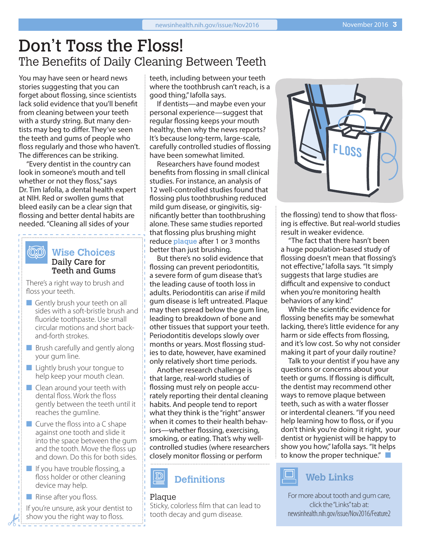# Don't Toss the Floss! The Benefits of Daily Cleaning Between Teeth

You may have seen or heard news stories suggesting that you can forget about flossing, since scientists lack solid evidence that you'll benefit from cleaning between your teeth with a sturdy string. But many dentists may beg to differ. They've seen the teeth and gums of people who floss regularly and those who haven't. The differences can be striking.

"Every dentist in the country can look in someone's mouth and tell whether or not they floss," says Dr. Tim Iafolla, a dental health expert at NIH. Red or swollen gums that bleed easily can be a clear sign that flossing and better dental habits are needed. "Cleaning all sides of your

#### `@@`\ **Wise Choices** Daily Care for Teeth and Gums

There's a right way to brush and floss your teeth.

- $\blacksquare$  Gently brush your teeth on all sides with a soft-bristle brush and fluoride toothpaste. Use small circular motions and short backand-forth strokes.
- $\blacksquare$  Brush carefully and gently along your gum line.
- $\blacksquare$  Lightly brush your tongue to help keep your mouth clean.
- $\blacksquare$  Clean around your teeth with dental floss. Work the floss gently between the teeth until it reaches the gumline.
- $\blacksquare$  Curve the floss into a C shape against one tooth and slide it into the space between the gum and the tooth. Move the floss up and down. Do this for both sides.
- $\blacksquare$  If you have trouble flossing, a floss holder or other cleaning device may help.
- $\blacksquare$  Rinse after you floss.

If you're unsure, ask your dentist to show you the right way to floss.

teeth, including between your teeth where the toothbrush can't reach, is a good thing," Iafolla says.

If dentists—and maybe even your personal experience—suggest that regular flossing keeps your mouth healthy, then why the news reports? It's because long-term, large-scale, carefully controlled studies of flossing have been somewhat limited.

Researchers have found modest benefits from flossing in small clinical studies. For instance, an analysis of 12 well-controlled studies found that flossing plus toothbrushing reduced mild gum disease, or gingivitis, significantly better than toothbrushing alone. These same studies reported that flossing plus brushing might reduce **plaque** after 1 or 3 months better than just brushing.

But there's no solid evidence that flossing can prevent periodontitis, a severe form of gum disease that's the leading cause of tooth loss in adults. Periodontitis can arise if mild gum disease is left untreated. Plaque may then spread below the gum line, leading to breakdown of bone and other tissues that support your teeth. Periodontitis develops slowly over months or years. Most flossing studies to date, however, have examined only relatively short time periods.

Another research challenge is that large, real-world studies of flossing must rely on people accurately reporting their dental cleaning habits. And people tend to report what they think is the "right" answer when it comes to their health behaviors—whether flossing, exercising, smoking, or eating. That's why wellcontrolled studies (where researchers closely monitor flossing or perform



#### Plaque

Sticky, colorless film that can lead to tooth decay and gum disease.



the flossing) tend to show that flossing is effective. But real-world studies result in weaker evidence.

"The fact that there hasn't been a huge population-based study of flossing doesn't mean that flossing's not effective," Iafolla says. "It simply suggests that large studies are difficult and expensive to conduct when you're monitoring health behaviors of any kind."

While the scientific evidence for flossing benefits may be somewhat lacking, there's little evidence for any harm or side effects from flossing, and it's low cost. So why not consider making it part of your daily routine?

Talk to your dentist if you have any questions or concerns about your teeth or gums. If flossing is difficult, the dentist may recommend other ways to remove plaque between teeth, such as with a water flosser or interdental cleaners. "If you need help learning how to floss, or if you don't think you're doing it right, your dentist or hygienist will be happy to show you how," Iafolla says. "It helps to know the proper technique." $\Box$ 



For more about tooth and gum care, click the "Links" tab at: [newsinhealth.nih.gov/issue/Nov2016/Feature2](https://newsinhealth.nih.gov/issue/Nov2016/Feature2)